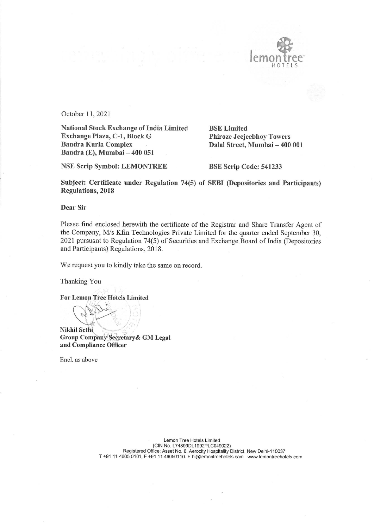

October 11, 2021

National Stock Exchange of India Limited Exchange Plaza, C-1, Block G Bandra Kurla Complex Bandra (E), Mumbai - 400 051

BSE Limited Phiroze Jeejeebhoy Towers Dalal Street, Mumbai - 400 001

NSE Scrip Symbol: LEMONTREE

BSE Scrip Code: 541233

Subject: Certificate under Regulation 74(5) of SEBI (Depositories and Participants) Regulations, 2018

Dear Sir

Please find enclosed herewith the certificate of the Registrar and Share Transfer Agent of the Company, M/s Kfin Technologies Private Limited for the quarter ended September 30, 2021 pursuant to Regulation 74(5) of Securities and Exchange Board of India (Depositories and Participants) Regulations, 2018.

We request you to kindly take the same on record.

Thanking You

For Lemon Tree Hotels Limited

**PARTIS** 

Nikhil Sethi, Group Company Secretary & GM Legal and Compliance Officer

Encl. as above

Lemon Tree Hotels Limited (CINNo. L74899DL1992PLC049022) Registered Office: Asset No. 6, Aerocity Hospitality District, New Delhi-110037 T +91 <sup>11</sup> 4605 0101, F +91 11 46050110. E hi@lemontreehotels.com www.lemontreehotels.com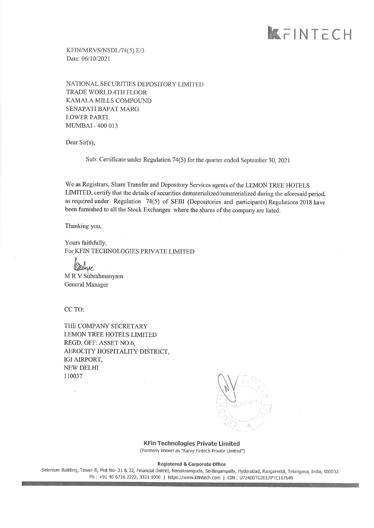## KFINTECH

KFIN/MRVS/NSDL/74(5) E/3 Date: 06/10/2021

NATIONAL SECURITIES DEPOSITORY LIMITED TRADE WORLD 4TH FLOOR KAMALA MILLS COMPOUND SENAPATI BAPAT MARG **LOWER PAREL** MUMBAI - 400 013

Dear Sir(s),

Sub: Certificate under Regulation 74(5) for the quarter ended September 30, <sup>2021</sup>

We as Registrars, Share Transfer and Depository Services agents of the LEMON TREE HOTELS LIMITED, certify that the details of securities dematerialized/rematerialized during the aforesaid period, as required under Regulation 74(5) of SEBI (Depositories and participants) Regulations 2018 have been furnished to all the Stock Exchanges where the shares of the company are listed.

Thanking you,

Yours faithfully, For KFIN TECHNOLOGIES PRIVATE LIMITED

?. M RV Subrahmanyam General Manager

CCTO:

THE COMPANY SECRETARY LEMON TREE HOTELS LIMITED REGD. OFF: ASSET N0.6, AEROCITY HOSPITALITY DISTRICT, IGI AIRPORT, NEW DELHI 110037

KFin Technologies Private Limited (Formerly known as "Karvy Fintech Private Limited")

Registered & Corporate Office

Selenium Building, Tower-B, Plot No- 31 & 32, Financial District, Nanakramguda, Serilingampally, Hyderabad, Rangareddi, Telangana, India, 500032. Ph : +91 40 6716 2222, 3321 1000 | https://www.kfintech.com | CIN : U72400TG2017PTC117649